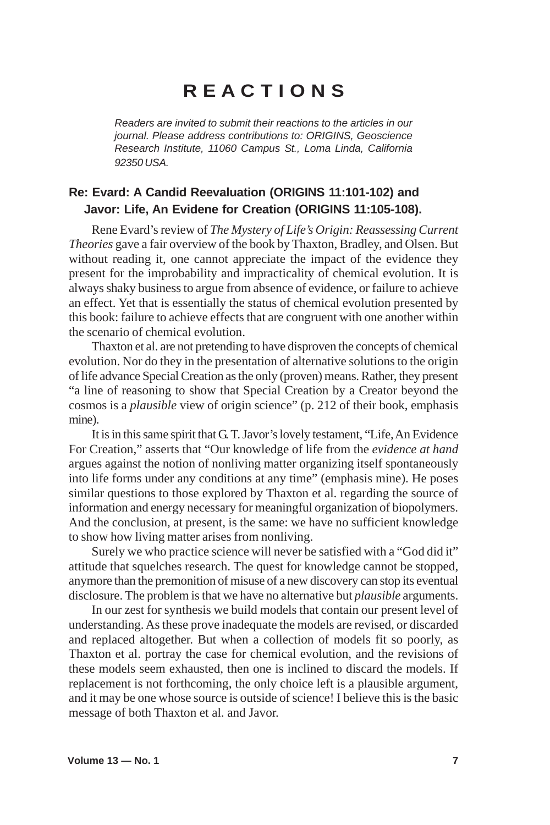## **R E A C T I O N S**

*Readers are invited to submit their reactions to the articles in our journal. Please address contributions to: ORIGINS, Geoscience Research Institute, 11060 Campus St., Loma Linda, California 92350 USA.*

## **Re: Evard: A Candid Reevaluation (ORIGINS 11:101-102) and Javor: Life, An Evidene for Creation (ORIGINS 11:105-108).**

Rene Evard's review of *The Mystery of Life's Origin: Reassessing Current Theories* gave a fair overview of the book by Thaxton, Bradley, and Olsen. But without reading it, one cannot appreciate the impact of the evidence they present for the improbability and impracticality of chemical evolution. It is always shaky business to argue from absence of evidence, or failure to achieve an effect. Yet that is essentially the status of chemical evolution presented by this book: failure to achieve effects that are congruent with one another within the scenario of chemical evolution.

Thaxton et al. are not pretending to have disproven the concepts of chemical evolution. Nor do they in the presentation of alternative solutions to the origin of life advance Special Creation as the only (proven) means. Rather, they present "a line of reasoning to show that Special Creation by a Creator beyond the cosmos is a *plausible* view of origin science" (p. 212 of their book, emphasis mine).

It is in this same spirit that G. T. Javor's lovely testament, "Life, An Evidence For Creation," asserts that "Our knowledge of life from the *evidence at hand* argues against the notion of nonliving matter organizing itself spontaneously into life forms under any conditions at any time" (emphasis mine). He poses similar questions to those explored by Thaxton et al. regarding the source of information and energy necessary for meaningful organization of biopolymers. And the conclusion, at present, is the same: we have no sufficient knowledge to show how living matter arises from nonliving.

Surely we who practice science will never be satisfied with a "God did it" attitude that squelches research. The quest for knowledge cannot be stopped, anymore than the premonition of misuse of a new discovery can stop its eventual disclosure. The problem is that we have no alternative but *plausible* arguments.

In our zest for synthesis we build models that contain our present level of understanding. As these prove inadequate the models are revised, or discarded and replaced altogether. But when a collection of models fit so poorly, as Thaxton et al. portray the case for chemical evolution, and the revisions of these models seem exhausted, then one is inclined to discard the models. If replacement is not forthcoming, the only choice left is a plausible argument, and it may be one whose source is outside of science! I believe this is the basic message of both Thaxton et al. and Javor.